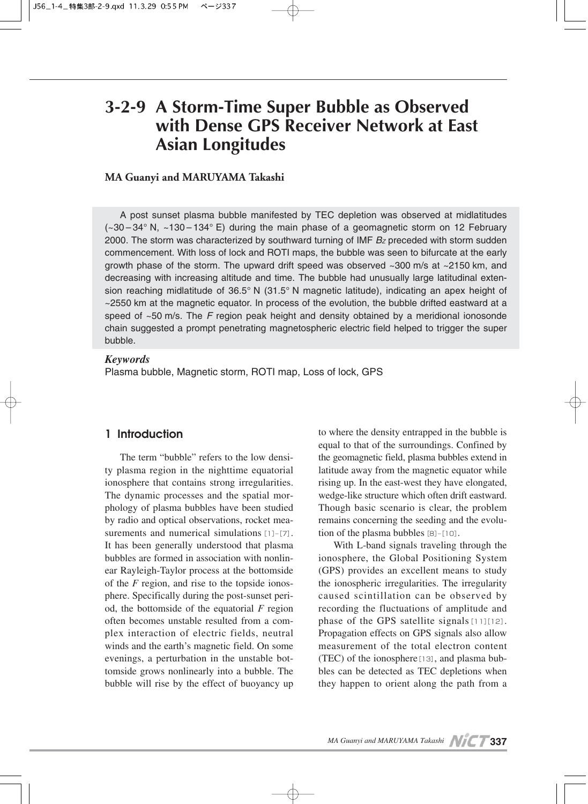# **3-2-9 A Storm-Time Super Bubble as Observed with Dense GPS Receiver Network at East Asian Longitudes**

#### **MA Guanyi and MARUYAMA Takashi**

A post sunset plasma bubble manifested by TEC depletion was observed at midlatitudes (~30 – 34° N, ~130 – 134° E) during the main phase of a geomagnetic storm on 12 February 2000. The storm was characterized by southward turning of IMF  $B<sub>Z</sub>$  preceded with storm sudden commencement. With loss of lock and ROTI maps, the bubble was seen to bifurcate at the early growth phase of the storm. The upward drift speed was observed ~300 m/s at ~2150 km, and decreasing with increasing altitude and time. The bubble had unusually large latitudinal extension reaching midlatitude of 36.5° N (31.5° N magnetic latitude), indicating an apex height of ~2550 km at the magnetic equator. In process of the evolution, the bubble drifted eastward at a speed of ~50 m/s. The *F* region peak height and density obtained by a meridional ionosonde chain suggested a prompt penetrating magnetospheric electric field helped to trigger the super bubble.

#### *Keywords*

Plasma bubble, Magnetic storm, ROTI map, Loss of lock, GPS

## **1 Introduction**

The term "bubble" refers to the low density plasma region in the nighttime equatorial ionosphere that contains strong irregularities. The dynamic processes and the spatial morphology of plasma bubbles have been studied by radio and optical observations, rocket measurements and numerical simulations [1]–[7]. It has been generally understood that plasma bubbles are formed in association with nonlinear Rayleigh-Taylor process at the bottomside of the *F* region, and rise to the topside ionosphere. Specifically during the post-sunset period, the bottomside of the equatorial *F* region often becomes unstable resulted from a complex interaction of electric fields, neutral winds and the earth's magnetic field. On some evenings, a perturbation in the unstable bottomside grows nonlinearly into a bubble. The bubble will rise by the effect of buoyancy up to where the density entrapped in the bubble is equal to that of the surroundings. Confined by the geomagnetic field, plasma bubbles extend in latitude away from the magnetic equator while rising up. In the east-west they have elongated, wedge-like structure which often drift eastward. Though basic scenario is clear, the problem remains concerning the seeding and the evolution of the plasma bubbles  $[8]-[10]$ .

With L-band signals traveling through the ionosphere, the Global Positioning System (GPS) provides an excellent means to study the ionospheric irregularities. The irregularity caused scintillation can be observed by recording the fluctuations of amplitude and phase of the GPS satellite signals[11][12]. Propagation effects on GPS signals also allow measurement of the total electron content (TEC) of the ionosphere[13], and plasma bubbles can be detected as TEC depletions when they happen to orient along the path from a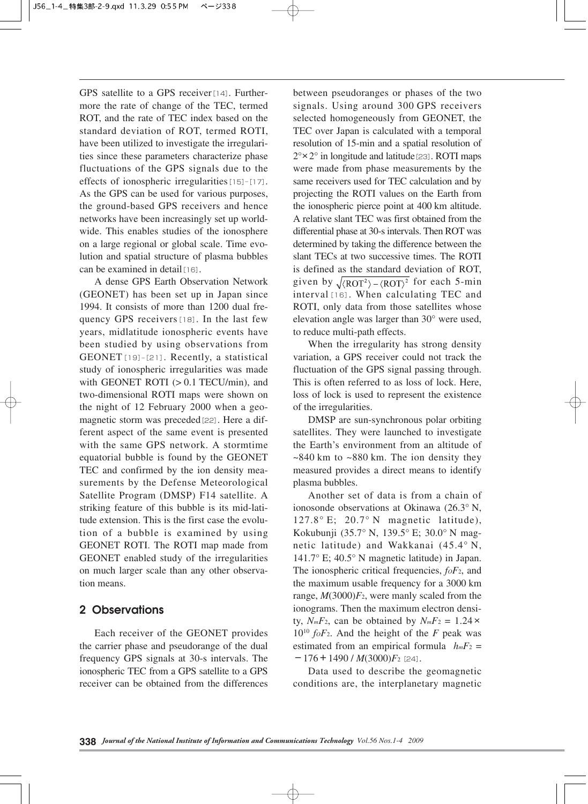GPS satellite to a GPS receiver<sup>[14]</sup>. Furthermore the rate of change of the TEC, termed ROT, and the rate of TEC index based on the standard deviation of ROT, termed ROTI, have been utilized to investigate the irregularities since these parameters characterize phase fluctuations of the GPS signals due to the effects of ionospheric irregularities[15]–[17]. As the GPS can be used for various purposes, the ground-based GPS receivers and hence networks have been increasingly set up worldwide. This enables studies of the ionosphere on a large regional or global scale. Time evolution and spatial structure of plasma bubbles can be examined in detail [16].

A dense GPS Earth Observation Network (GEONET) has been set up in Japan since 1994. It consists of more than 1200 dual frequency GPS receivers[18]. In the last few years, midlatitude ionospheric events have been studied by using observations from GEONET[19]–[21]. Recently, a statistical study of ionospheric irregularities was made with GEONET ROTI (> 0.1 TECU/min), and two-dimensional ROTI maps were shown on the night of 12 February 2000 when a geomagnetic storm was preceded [22]. Here a different aspect of the same event is presented with the same GPS network. A stormtime equatorial bubble is found by the GEONET TEC and confirmed by the ion density measurements by the Defense Meteorological Satellite Program (DMSP) F14 satellite. A striking feature of this bubble is its mid-latitude extension. This is the first case the evolution of a bubble is examined by using GEONET ROTI. The ROTI map made from GEONET enabled study of the irregularities on much larger scale than any other observation means.

## **2 Observations**

Each receiver of the GEONET provides the carrier phase and pseudorange of the dual frequency GPS signals at 30-s intervals. The ionospheric TEC from a GPS satellite to a GPS receiver can be obtained from the differences

between pseudoranges or phases of the two signals. Using around 300 GPS receivers selected homogeneously from GEONET, the TEC over Japan is calculated with a temporal resolution of 15-min and a spatial resolution of  $2^{\circ} \times 2^{\circ}$  in longitude and latitude [23]. ROTI maps were made from phase measurements by the same receivers used for TEC calculation and by projecting the ROTI values on the Earth from the ionospheric pierce point at 400 km altitude. A relative slant TEC was first obtained from the differential phase at 30-s intervals. Then ROT was determined by taking the difference between the slant TECs at two successive times. The ROTI is defined as the standard deviation of ROT, given by  $\sqrt{\langle \text{ROT}^2 \rangle - \langle \text{ROT} \rangle^2}$  for each 5-min interval[16]. When calculating TEC and ROTI, only data from those satellites whose elevation angle was larger than 30° were used, to reduce multi-path effects.

When the irregularity has strong density variation, a GPS receiver could not track the fluctuation of the GPS signal passing through. This is often referred to as loss of lock. Here, loss of lock is used to represent the existence of the irregularities.

DMSP are sun-synchronous polar orbiting satellites. They were launched to investigate the Earth's environment from an altitude of  $\sim$ 840 km to  $\sim$ 880 km. The ion density they measured provides a direct means to identify plasma bubbles.

Another set of data is from a chain of ionosonde observations at Okinawa (26.3° N, 127.8 $^{\circ}$  E; 20.7 $^{\circ}$  N magnetic latitude), Kokubunji (35.7° N, 139.5° E; 30.0° N magnetic latitude) and Wakkanai (45.4° N, 141.7° E; 40.5° N magnetic latitude) in Japan. The ionospheric critical frequencies,  $f \circ F_2$ , and the maximum usable frequency for a 3000 km range, *M*(3000)*F*2, were manly scaled from the ionograms. Then the maximum electron density,  $N_mF_2$ , can be obtained by  $N_mF_2 = 1.24 \times$  $10^{10}$  *foF*<sub>2</sub>. And the height of the *F* peak was estimated from an empirical formula  $h_mF_2$  =  $-176+1490/M(3000)F<sub>2</sub>$ [24].

Data used to describe the geomagnetic conditions are, the interplanetary magnetic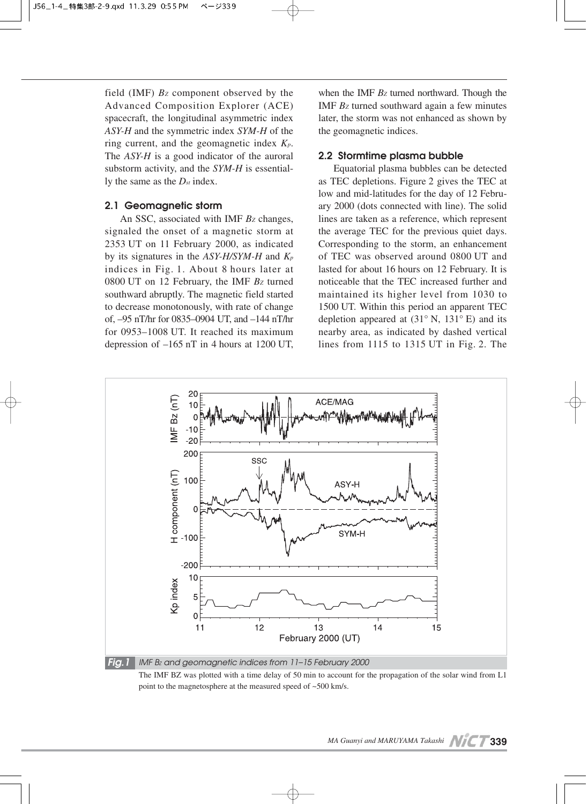field (IMF) *BZ* component observed by the Advanced Composition Explorer (ACE) spacecraft, the longitudinal asymmetric index *ASY-H* and the symmetric index *SYM-H* of the ring current, and the geomagnetic index *Kp*. The *ASY-H* is a good indicator of the auroral substorm activity, and the *SYM-H* is essentially the same as the *Dst* index.

#### **2.1 Geomagnetic storm**

An SSC, associated with IMF *Bz* changes, signaled the onset of a magnetic storm at 2353 UT on 11 February 2000, as indicated by its signatures in the *ASY-H/SYM-H* and *Kp* indices in Fig. 1. About 8 hours later at 0800 UT on 12 February, the IMF *BZ* turned southward abruptly. The magnetic field started to decrease monotonously, with rate of change of, –95 nT/hr for 0835–0904 UT, and –144 nT/hr for 0953–1008 UT. It reached its maximum depression of –165 nT in 4 hours at 1200 UT, when the IMF  $Bz$  turned northward. Though the IMF *BZ* turned southward again a few minutes later, the storm was not enhanced as shown by the geomagnetic indices.

#### **2.2 Stormtime plasma bubble**

Equatorial plasma bubbles can be detected as TEC depletions. Figure 2 gives the TEC at low and mid-latitudes for the day of 12 February 2000 (dots connected with line). The solid lines are taken as a reference, which represent the average TEC for the previous quiet days. Corresponding to the storm, an enhancement of TEC was observed around 0800 UT and lasted for about 16 hours on 12 February. It is noticeable that the TEC increased further and maintained its higher level from 1030 to 1500 UT. Within this period an apparent TEC depletion appeared at  $(31° N, 131° E)$  and its nearby area, as indicated by dashed vertical lines from 1115 to 1315 UT in Fig. 2. The



The IMF BZ was plotted with a time delay of 50 min to account for the propagation of the solar wind from L1 point to the magnetosphere at the measured speed of ~500 km/s.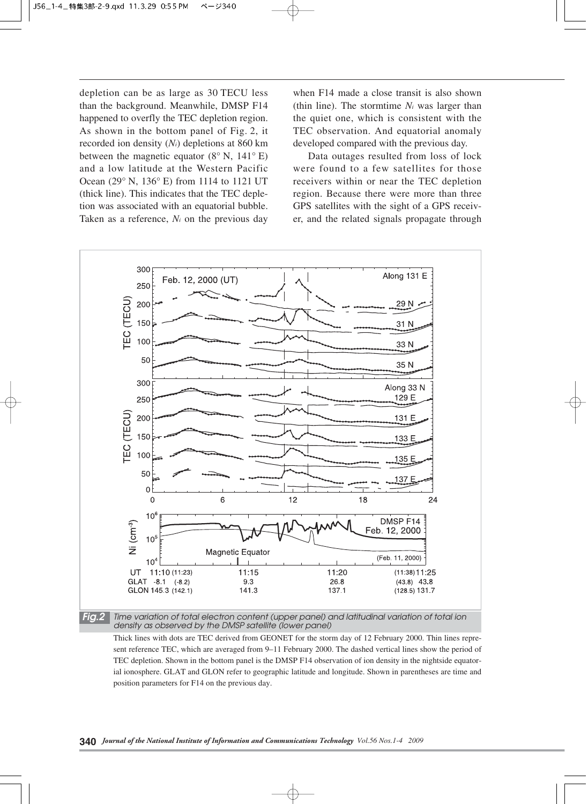depletion can be as large as 30 TECU less than the background. Meanwhile, DMSP F14 happened to overfly the TEC depletion region. As shown in the bottom panel of Fig. 2, it recorded ion density (*Ni*) depletions at 860 km between the magnetic equator  $(8^\circ \text{ N}, 141^\circ \text{ E})$ and a low latitude at the Western Pacific Ocean (29° N, 136° E) from 1114 to 1121 UT (thick line). This indicates that the TEC depletion was associated with an equatorial bubble. Taken as a reference, *Ni* on the previous day

when F14 made a close transit is also shown (thin line). The stormtime *Ni* was larger than the quiet one, which is consistent with the TEC observation. And equatorial anomaly developed compared with the previous day.

Data outages resulted from loss of lock were found to a few satellites for those receivers within or near the TEC depletion region. Because there were more than three GPS satellites with the sight of a GPS receiver, and the related signals propagate through



*Fig.2 Time variation of total electron content (upper panel) and latitudinal variation of total ion density as observed by the DMSP satellite (lower panel)*

Thick lines with dots are TEC derived from GEONET for the storm day of 12 February 2000. Thin lines represent reference TEC, which are averaged from 9–11 February 2000. The dashed vertical lines show the period of TEC depletion. Shown in the bottom panel is the DMSP F14 observation of ion density in the nightside equatorial ionosphere. GLAT and GLON refer to geographic latitude and longitude. Shown in parentheses are time and position parameters for F14 on the previous day.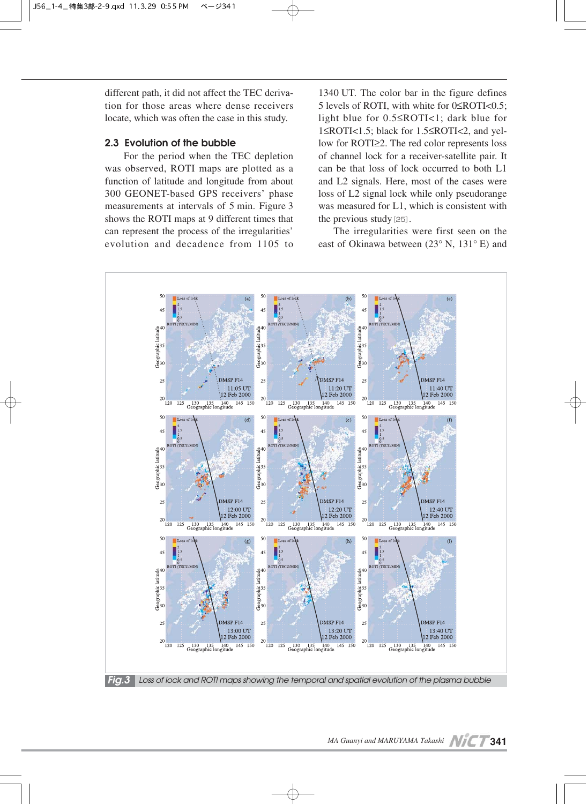different path, it did not affect the TEC derivation for those areas where dense receivers locate, which was often the case in this study.

#### **2.3 Evolution of the bubble**

For the period when the TEC depletion was observed, ROTI maps are plotted as a function of latitude and longitude from about 300 GEONET-based GPS receivers' phase measurements at intervals of 5 min. Figure 3 shows the ROTI maps at 9 different times that can represent the process of the irregularities' evolution and decadence from 1105 to 1340 UT. The color bar in the figure defines 5 levels of ROTI, with white for 0≤ROTI<0.5; light blue for 0.5≤ROTI<1; dark blue for 1≤ROTI<1.5; black for 1.5≤ROTI<2, and yellow for ROTI≥2. The red color represents loss of channel lock for a receiver-satellite pair. It can be that loss of lock occurred to both L1 and L2 signals. Here, most of the cases were loss of L2 signal lock while only pseudorange was measured for L1, which is consistent with the previous study $[25]$ .

The irregularities were first seen on the east of Okinawa between (23° N, 131° E) and

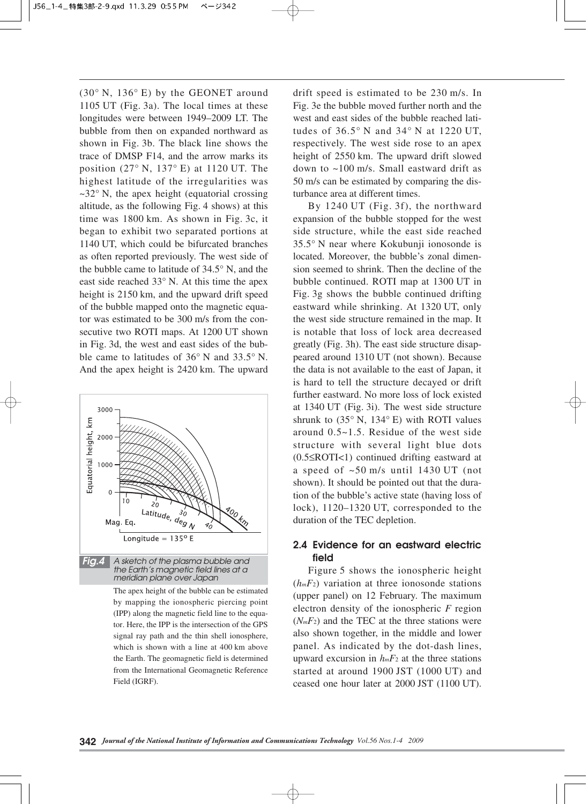(30° N, 136° E) by the GEONET around 1105 UT (Fig. 3a). The local times at these longitudes were between 1949–2009 LT. The bubble from then on expanded northward as shown in Fig. 3b. The black line shows the trace of DMSP F14, and the arrow marks its position (27° N, 137° E) at 1120 UT. The highest latitude of the irregularities was  $\sim$ 32° N, the apex height (equatorial crossing altitude, as the following Fig. 4 shows) at this time was 1800 km. As shown in Fig. 3c, it began to exhibit two separated portions at 1140 UT, which could be bifurcated branches as often reported previously. The west side of the bubble came to latitude of 34.5° N, and the east side reached 33° N. At this time the apex height is 2150 km, and the upward drift speed of the bubble mapped onto the magnetic equator was estimated to be 300 m/s from the consecutive two ROTI maps. At 1200 UT shown in Fig. 3d, the west and east sides of the bubble came to latitudes of 36° N and 33.5° N. And the apex height is 2420 km. The upward



The apex height of the bubble can be estimated by mapping the ionospheric piercing point (IPP) along the magnetic field line to the equator. Here, the IPP is the intersection of the GPS signal ray path and the thin shell ionosphere, which is shown with a line at 400 km above the Earth. The geomagnetic field is determined from the International Geomagnetic Reference Field (IGRF).

drift speed is estimated to be 230 m/s. In Fig. 3e the bubble moved further north and the west and east sides of the bubble reached latitudes of 36.5° N and 34° N at 1220 UT, respectively. The west side rose to an apex height of 2550 km. The upward drift slowed down to ~100 m/s. Small eastward drift as 50 m/s can be estimated by comparing the disturbance area at different times.

By 1240 UT (Fig. 3f), the northward expansion of the bubble stopped for the west side structure, while the east side reached 35.5° N near where Kokubunji ionosonde is located. Moreover, the bubble's zonal dimension seemed to shrink. Then the decline of the bubble continued. ROTI map at 1300 UT in Fig. 3g shows the bubble continued drifting eastward while shrinking. At 1320 UT, only the west side structure remained in the map. It is notable that loss of lock area decreased greatly (Fig. 3h). The east side structure disappeared around 1310 UT (not shown). Because the data is not available to the east of Japan, it is hard to tell the structure decayed or drift further eastward. No more loss of lock existed at 1340 UT (Fig. 3i). The west side structure shrunk to  $(35° \text{ N}, 134° \text{ E})$  with ROTI values around 0.5~1.5. Residue of the west side structure with several light blue dots (0.5≤ROTI<1) continued drifting eastward at a speed of  $\sim 50$  m/s until 1430 UT (not shown). It should be pointed out that the duration of the bubble's active state (having loss of lock), 1120–1320 UT, corresponded to the duration of the TEC depletion.

## **2.4 Evidence for an eastward electric field**

Figure 5 shows the ionospheric height  $(h_mF_2)$  variation at three ionosonde stations (upper panel) on 12 February. The maximum electron density of the ionospheric *F* region  $(N_mF_2)$  and the TEC at the three stations were also shown together, in the middle and lower panel. As indicated by the dot-dash lines, upward excursion in *hmF*<sup>2</sup> at the three stations started at around 1900 JST (1000 UT) and ceased one hour later at 2000 JST (1100 UT).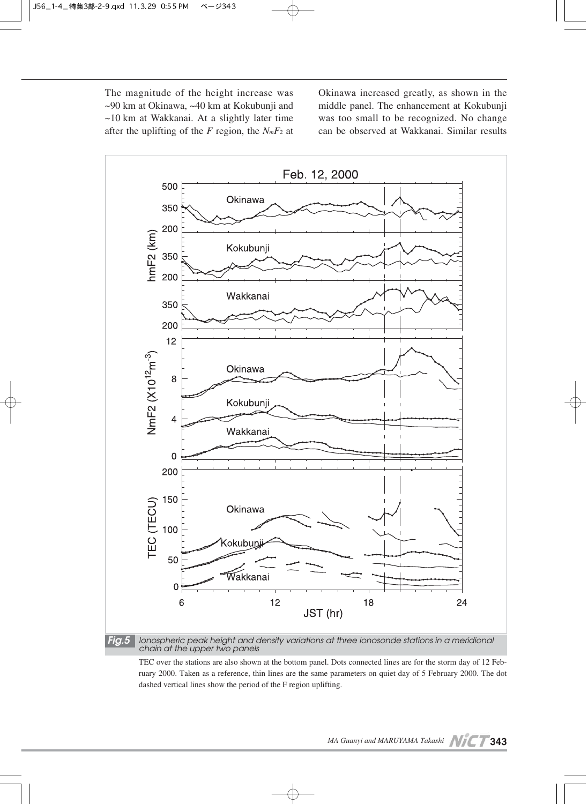The magnitude of the height increase was ~90 km at Okinawa, ~40 km at Kokubunji and ~10 km at Wakkanai. At a slightly later time after the uplifting of the *F* region, the *NmF*<sup>2</sup> at Okinawa increased greatly, as shown in the middle panel. The enhancement at Kokubunji was too small to be recognized. No change can be observed at Wakkanai. Similar results



*chain at the upper two panels*

TEC over the stations are also shown at the bottom panel. Dots connected lines are for the storm day of 12 February 2000. Taken as a reference, thin lines are the same parameters on quiet day of 5 February 2000. The dot dashed vertical lines show the period of the F region uplifting.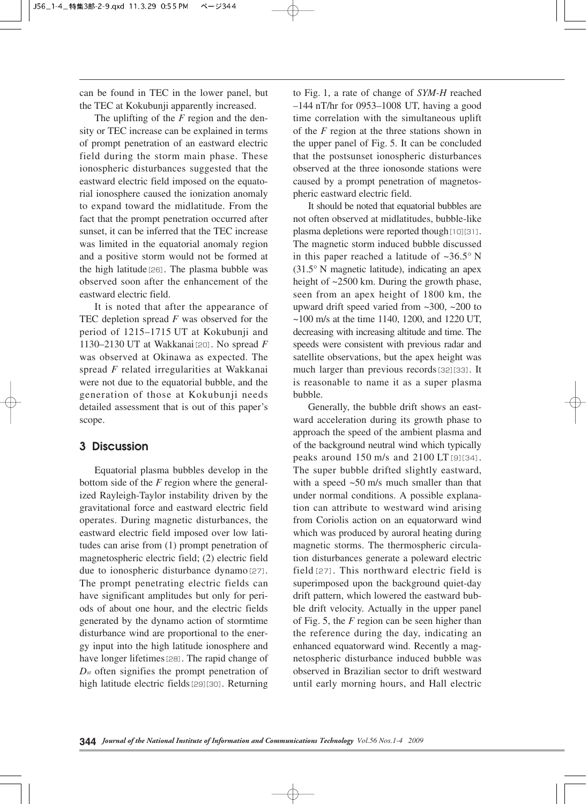can be found in TEC in the lower panel, but the TEC at Kokubunji apparently increased.

The uplifting of the *F* region and the density or TEC increase can be explained in terms of prompt penetration of an eastward electric field during the storm main phase. These ionospheric disturbances suggested that the eastward electric field imposed on the equatorial ionosphere caused the ionization anomaly to expand toward the midlatitude. From the fact that the prompt penetration occurred after sunset, it can be inferred that the TEC increase was limited in the equatorial anomaly region and a positive storm would not be formed at the high latitude[26]. The plasma bubble was observed soon after the enhancement of the eastward electric field.

It is noted that after the appearance of TEC depletion spread *F* was observed for the period of 1215–1715 UT at Kokubunji and 1130–2130 UT at Wakkanai[20]. No spread *F* was observed at Okinawa as expected. The spread *F* related irregularities at Wakkanai were not due to the equatorial bubble, and the generation of those at Kokubunji needs detailed assessment that is out of this paper's scope.

## **3 Discussion**

Equatorial plasma bubbles develop in the bottom side of the *F* region where the generalized Rayleigh-Taylor instability driven by the gravitational force and eastward electric field operates. During magnetic disturbances, the eastward electric field imposed over low latitudes can arise from (1) prompt penetration of magnetospheric electric field; (2) electric field due to ionospheric disturbance dynamo<sup>[27]</sup>. The prompt penetrating electric fields can have significant amplitudes but only for periods of about one hour, and the electric fields generated by the dynamo action of stormtime disturbance wind are proportional to the energy input into the high latitude ionosphere and have longer lifetimes<sup>[28]</sup>. The rapid change of *Dst* often signifies the prompt penetration of high latitude electric fields<sup>[29][30]</sup>. Returning

to Fig. 1, a rate of change of *SYM-H* reached  $-144$  nT/hr for 0953–1008 UT, having a good time correlation with the simultaneous uplift of the *F* region at the three stations shown in the upper panel of Fig. 5. It can be concluded that the postsunset ionospheric disturbances observed at the three ionosonde stations were caused by a prompt penetration of magnetospheric eastward electric field.

It should be noted that equatorial bubbles are not often observed at midlatitudes, bubble-like plasma depletions were reported though [10][31]. The magnetic storm induced bubble discussed in this paper reached a latitude of  $\sim 36.5^\circ$  N (31.5° N magnetic latitude), indicating an apex height of ~2500 km. During the growth phase, seen from an apex height of 1800 km, the upward drift speed varied from ~300, ~200 to  $\sim$ 100 m/s at the time 1140, 1200, and 1220 UT, decreasing with increasing altitude and time. The speeds were consistent with previous radar and satellite observations, but the apex height was much larger than previous records[32][33]. It is reasonable to name it as a super plasma bubble.

Generally, the bubble drift shows an eastward acceleration during its growth phase to approach the speed of the ambient plasma and of the background neutral wind which typically peaks around 150 m/s and 2100 LT[9][34]. The super bubble drifted slightly eastward, with a speed  $\sim 50$  m/s much smaller than that under normal conditions. A possible explanation can attribute to westward wind arising from Coriolis action on an equatorward wind which was produced by auroral heating during magnetic storms. The thermospheric circulation disturbances generate a poleward electric field[27]. This northward electric field is superimposed upon the background quiet-day drift pattern, which lowered the eastward bubble drift velocity. Actually in the upper panel of Fig. 5, the *F* region can be seen higher than the reference during the day, indicating an enhanced equatorward wind. Recently a magnetospheric disturbance induced bubble was observed in Brazilian sector to drift westward until early morning hours, and Hall electric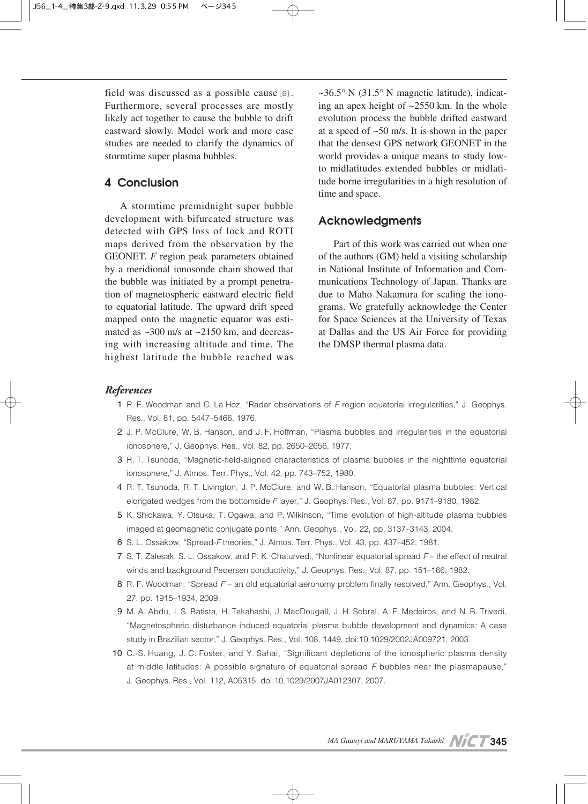field was discussed as a possible cause[9]. Furthermore, several processes are mostly likely act together to cause the bubble to drift eastward slowly. Model work and more case studies are needed to clarify the dynamics of stormtime super plasma bubbles.

# **4 Conclusion**

A stormtime premidnight super bubble development with bifurcated structure was detected with GPS loss of lock and ROTI maps derived from the observation by the GEONET. *F* region peak parameters obtained by a meridional ionosonde chain showed that the bubble was initiated by a prompt penetration of magnetospheric eastward electric field to equatorial latitude. The upward drift speed mapped onto the magnetic equator was estimated as  $\sim$ 300 m/s at  $\sim$ 2150 km, and decreasing with increasing altitude and time. The highest latitude the bubble reached was

 $\sim$ 36.5° N (31.5° N magnetic latitude), indicating an apex height of ~2550 km. In the whole evolution process the bubble drifted eastward at a speed of ~50 m/s. It is shown in the paper that the densest GPS network GEONET in the world provides a unique means to study lowto midlatitudes extended bubbles or midlatitude borne irregularities in a high resolution of time and space.

## **Acknowledgments**

Part of this work was carried out when one of the authors (GM) held a visiting scholarship in National Institute of Information and Communications Technology of Japan. Thanks are due to Maho Nakamura for scaling the ionograms. We gratefully acknowledge the Center for Space Sciences at the University of Texas at Dallas and the US Air Force for providing the DMSP thermal plasma data.

#### *References*

- 01 R. F. Woodman and C. La Hoz, "Radar observations of *F* region equatorial irregularities," J. Geophys. Res., Vol. 81, pp. 5447–5466, 1976.
- 02 J. P. McClure, W. B. Hanson, and J. F. Hoffman, "Plasma bubbles and irregularities in the equatorial ionosphere," J. Geophys. Res., Vol. 82, pp. 2650–2656, 1977.
- 03 R. T. Tsunoda, "Magnetic-field-aligned characteristics of plasma bubbles in the nighttime equatorial ionosphere," J. Atmos. Terr. Phys., Vol. 42, pp. 743–752, 1980.
- 04 R. T. Tsunoda, R. T. Livington, J. P. McClure, and W. B. Hanson, "Equatorial plasma bubbles: Vertical elongated wedges from the bottomside *F* layer," J. Geophys. Res., Vol. 87, pp. 9171–9180, 1982.
- 05 K. Shiokawa, Y. Otsuka, T. Ogawa, and P. Wilkinson, "Time evolution of high-altitude plasma bubbles imaged at geomagnetic conjugate points," Ann. Geophys., Vol. 22, pp. 3137–3143, 2004.
- 06 S. L. Ossakow, "Spread-*F* theories," J. Atmos. Terr. Phys., Vol. 43, pp. 437–452, 1981.
- 07 S. T. Zalesak, S. L. Ossakow, and P. K. Chaturvedi, "Nonlinear equatorial spread *F* the effect of neutral winds and background Pedersen conductivity," J. Geophys. Res., Vol. 87, pp. 151–166, 1982.
- 08 R. F. Woodman, "Spread *F* an old equatorial aeronomy problem finally resolved," Ann. Geophys., Vol. 27, pp. 1915–1934, 2009.
- 09 M. A. Abdu, I. S. Batista, H. Takahashi, J. MacDougall, J. H. Sobral, A. F. Medeiros, and N. B. Trivedi, "Magnetospheric disturbance induced equatorial plasma bubble development and dynamics: A case study in Brazilian sector," J. Geophys. Res., Vol. 108, 1449, doi:10.1029/2002JA009721, 2003.
- 10 C.-S. Huang, J. C. Foster, and Y. Sahai, "Significant depletions of the ionospheric plasma density at middle latitudes: A possible signature of equatorial spread *F* bubbles near the plasmapause," J. Geophys. Res., Vol. 112, A05315, doi:10.1029/2007JA012307, 2007.

*MA Guanyi and MARUYAMA Takashi* **NICT 345**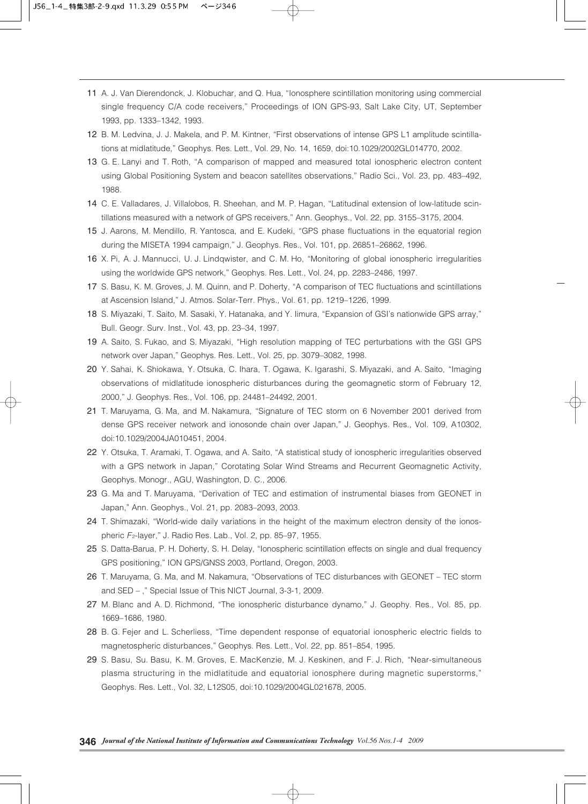- 11 A. J. Van Dierendonck, J. Klobuchar, and Q. Hua, "Ionosphere scintillation monitoring using commercial single frequency C/A code receivers," Proceedings of ION GPS-93, Salt Lake City, UT, September 1993, pp. 1333–1342, 1993.
- 12 B. M. Ledvina, J. J. Makela, and P. M. Kintner, "First observations of intense GPS L1 amplitude scintillations at midlatitude," Geophys. Res. Lett., Vol. 29, No. 14, 1659, doi:10.1029/2002GL014770, 2002.
- 13 G. E. Lanyi and T. Roth, "A comparison of mapped and measured total ionospheric electron content using Global Positioning System and beacon satellites observations," Radio Sci., Vol. 23, pp. 483–492, 1988.
- 14 C. E. Valladares, J. Villalobos, R. Sheehan, and M. P. Hagan, "Latitudinal extension of low-latitude scintillations measured with a network of GPS receivers," Ann. Geophys., Vol. 22, pp. 3155–3175, 2004.
- 15 J. Aarons, M. Mendillo, R. Yantosca, and E. Kudeki, "GPS phase fluctuations in the equatorial region during the MISETA 1994 campaign," J. Geophys. Res., Vol. 101, pp. 26851–26862, 1996.
- 16 X. Pi, A. J. Mannucci, U. J. Lindqwister, and C. M. Ho, "Monitoring of global ionospheric irregularities using the worldwide GPS network," Geophys. Res. Lett., Vol. 24, pp. 2283–2486, 1997.
- 17 S. Basu, K. M. Groves, J. M. Quinn, and P. Doherty, "A comparison of TEC fluctuations and scintillations at Ascension Island," J. Atmos. Solar-Terr. Phys., Vol. 61, pp. 1219–1226, 1999.
- 18 S. Miyazaki, T. Saito, M. Sasaki, Y. Hatanaka, and Y. Iimura, "Expansion of GSI's nationwide GPS array," Bull. Geogr. Surv. Inst., Vol. 43, pp. 23–34, 1997.
- 19 A. Saito, S. Fukao, and S. Miyazaki, "High resolution mapping of TEC perturbations with the GSI GPS network over Japan," Geophys. Res. Lett., Vol. 25, pp. 3079–3082, 1998.
- 20 Y. Sahai, K. Shiokawa, Y. Otsuka, C. Ihara, T. Ogawa, K. Igarashi, S. Miyazaki, and A. Saito, "Imaging observations of midlatitude ionospheric disturbances during the geomagnetic storm of February 12, 2000," J. Geophys. Res., Vol. 106, pp. 24481–24492, 2001.
- 21 T. Maruyama, G. Ma, and M. Nakamura, "Signature of TEC storm on 6 November 2001 derived from dense GPS receiver network and ionosonde chain over Japan," J. Geophys. Res., Vol. 109, A10302, doi:10.1029/2004JA010451, 2004.
- 22 Y. Otsuka, T. Aramaki, T. Ogawa, and A. Saito, "A statistical study of ionospheric irregularities observed with a GPS network in Japan," Corotating Solar Wind Streams and Recurrent Geomagnetic Activity, Geophys. Monogr., AGU, Washington, D. C., 2006.
- 23 G. Ma and T. Maruyama, "Derivation of TEC and estimation of instrumental biases from GEONET in Japan," Ann. Geophys., Vol. 21, pp. 2083–2093, 2003.
- 24 T. Shimazaki, "World-wide daily variations in the height of the maximum electron density of the ionospheric *F*2-layer," J. Radio Res. Lab., Vol. 2, pp. 85–97, 1955.
- 25 S. Datta-Barua, P. H. Doherty, S. H. Delay, "Ionospheric scintillation effects on single and dual frequency GPS positioning," ION GPS/GNSS 2003, Portland, Oregon, 2003.
- 26 T. Maruyama, G. Ma, and M. Nakamura, "Observations of TEC disturbances with GEONET TEC storm and SED – ," Special Issue of This NICT Journal, 3-3-1, 2009.
- 27 M. Blanc and A. D. Richmond, "The ionospheric disturbance dynamo," J. Geophy. Res., Vol. 85, pp. 1669–1686, 1980.
- 28 B. G. Fejer and L. Scherliess, "Time dependent response of equatorial ionospheric electric fields to magnetospheric disturbances," Geophys. Res. Lett., Vol. 22, pp. 851–854, 1995.
- 29 S. Basu, Su. Basu, K. M. Groves, E. MacKenzie, M. J. Keskinen, and F. J. Rich, "Near-simultaneous plasma structuring in the midlatitude and equatorial ionosphere during magnetic superstorms," Geophys. Res. Lett., Vol. 32, L12S05, doi:10.1029/2004GL021678, 2005.